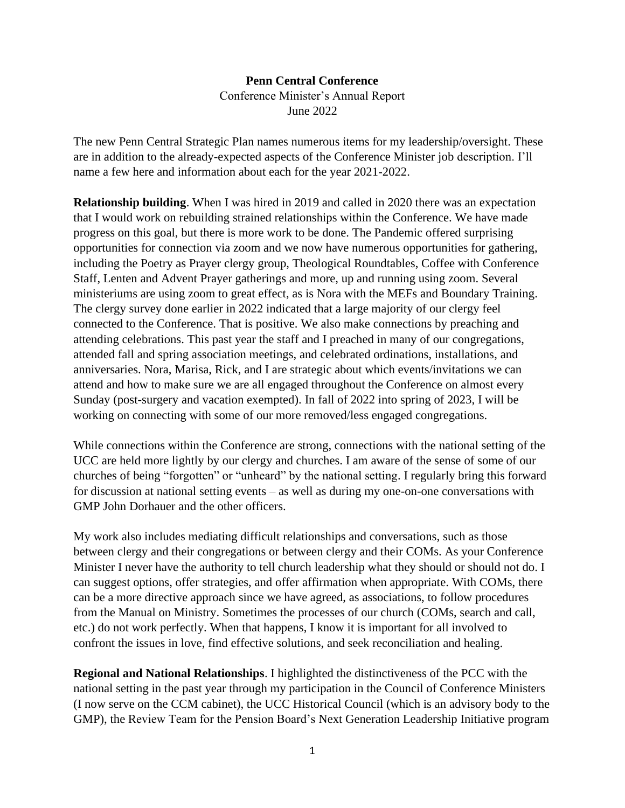## **Penn Central Conference** Conference Minister's Annual Report

June 2022

The new Penn Central Strategic Plan names numerous items for my leadership/oversight. These are in addition to the already-expected aspects of the Conference Minister job description. I'll name a few here and information about each for the year 2021-2022.

**Relationship building**. When I was hired in 2019 and called in 2020 there was an expectation that I would work on rebuilding strained relationships within the Conference. We have made progress on this goal, but there is more work to be done. The Pandemic offered surprising opportunities for connection via zoom and we now have numerous opportunities for gathering, including the Poetry as Prayer clergy group, Theological Roundtables, Coffee with Conference Staff, Lenten and Advent Prayer gatherings and more, up and running using zoom. Several ministeriums are using zoom to great effect, as is Nora with the MEFs and Boundary Training. The clergy survey done earlier in 2022 indicated that a large majority of our clergy feel connected to the Conference. That is positive. We also make connections by preaching and attending celebrations. This past year the staff and I preached in many of our congregations, attended fall and spring association meetings, and celebrated ordinations, installations, and anniversaries. Nora, Marisa, Rick, and I are strategic about which events/invitations we can attend and how to make sure we are all engaged throughout the Conference on almost every Sunday (post-surgery and vacation exempted). In fall of 2022 into spring of 2023, I will be working on connecting with some of our more removed/less engaged congregations.

While connections within the Conference are strong, connections with the national setting of the UCC are held more lightly by our clergy and churches. I am aware of the sense of some of our churches of being "forgotten" or "unheard" by the national setting. I regularly bring this forward for discussion at national setting events – as well as during my one-on-one conversations with GMP John Dorhauer and the other officers.

My work also includes mediating difficult relationships and conversations, such as those between clergy and their congregations or between clergy and their COMs. As your Conference Minister I never have the authority to tell church leadership what they should or should not do. I can suggest options, offer strategies, and offer affirmation when appropriate. With COMs, there can be a more directive approach since we have agreed, as associations, to follow procedures from the Manual on Ministry. Sometimes the processes of our church (COMs, search and call, etc.) do not work perfectly. When that happens, I know it is important for all involved to confront the issues in love, find effective solutions, and seek reconciliation and healing.

**Regional and National Relationships**. I highlighted the distinctiveness of the PCC with the national setting in the past year through my participation in the Council of Conference Ministers (I now serve on the CCM cabinet), the UCC Historical Council (which is an advisory body to the GMP), the Review Team for the Pension Board's Next Generation Leadership Initiative program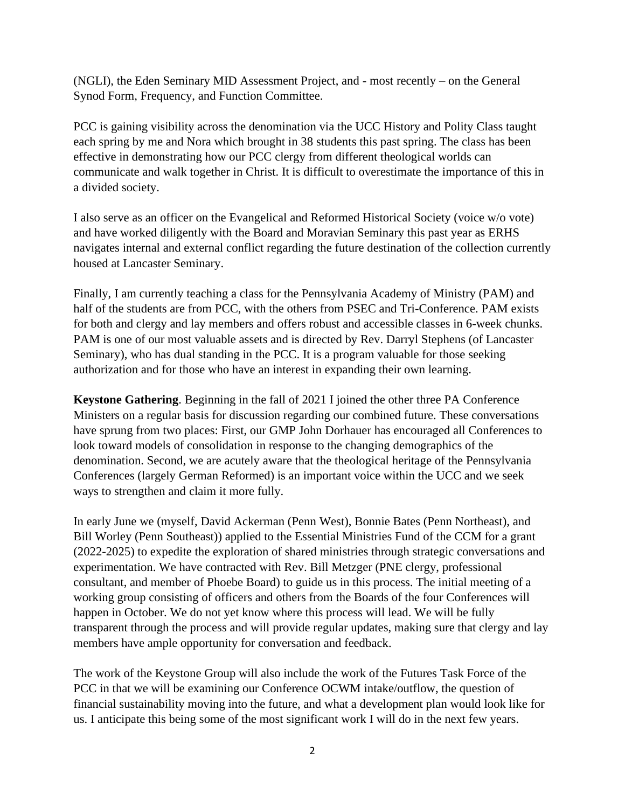(NGLI), the Eden Seminary MID Assessment Project, and - most recently – on the General Synod Form, Frequency, and Function Committee.

PCC is gaining visibility across the denomination via the UCC History and Polity Class taught each spring by me and Nora which brought in 38 students this past spring. The class has been effective in demonstrating how our PCC clergy from different theological worlds can communicate and walk together in Christ. It is difficult to overestimate the importance of this in a divided society.

I also serve as an officer on the Evangelical and Reformed Historical Society (voice w/o vote) and have worked diligently with the Board and Moravian Seminary this past year as ERHS navigates internal and external conflict regarding the future destination of the collection currently housed at Lancaster Seminary.

Finally, I am currently teaching a class for the Pennsylvania Academy of Ministry (PAM) and half of the students are from PCC, with the others from PSEC and Tri-Conference. PAM exists for both and clergy and lay members and offers robust and accessible classes in 6-week chunks. PAM is one of our most valuable assets and is directed by Rev. Darryl Stephens (of Lancaster Seminary), who has dual standing in the PCC. It is a program valuable for those seeking authorization and for those who have an interest in expanding their own learning.

**Keystone Gathering**. Beginning in the fall of 2021 I joined the other three PA Conference Ministers on a regular basis for discussion regarding our combined future. These conversations have sprung from two places: First, our GMP John Dorhauer has encouraged all Conferences to look toward models of consolidation in response to the changing demographics of the denomination. Second, we are acutely aware that the theological heritage of the Pennsylvania Conferences (largely German Reformed) is an important voice within the UCC and we seek ways to strengthen and claim it more fully.

In early June we (myself, David Ackerman (Penn West), Bonnie Bates (Penn Northeast), and Bill Worley (Penn Southeast)) applied to the Essential Ministries Fund of the CCM for a grant (2022-2025) to expedite the exploration of shared ministries through strategic conversations and experimentation. We have contracted with Rev. Bill Metzger (PNE clergy, professional consultant, and member of Phoebe Board) to guide us in this process. The initial meeting of a working group consisting of officers and others from the Boards of the four Conferences will happen in October. We do not yet know where this process will lead. We will be fully transparent through the process and will provide regular updates, making sure that clergy and lay members have ample opportunity for conversation and feedback.

The work of the Keystone Group will also include the work of the Futures Task Force of the PCC in that we will be examining our Conference OCWM intake/outflow, the question of financial sustainability moving into the future, and what a development plan would look like for us. I anticipate this being some of the most significant work I will do in the next few years.